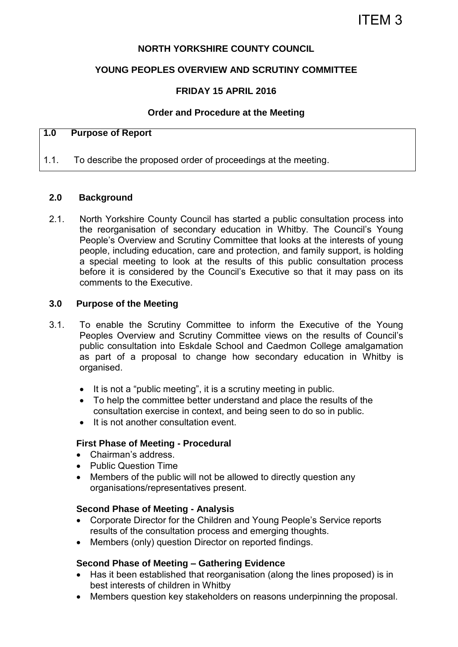## **NORTH YORKSHIRE COUNTY COUNCIL**

## **YOUNG PEOPLES OVERVIEW AND SCRUTINY COMMITTEE**

## **FRIDAY 15 APRIL 2016**

### **Order and Procedure at the Meeting**

# **1.0 Purpose of Report**

1.1. To describe the proposed order of proceedings at the meeting.

### **2.0 Background**

2.1. North Yorkshire County Council has started a public consultation process into the reorganisation of secondary education in Whitby. The Council's Young People's Overview and Scrutiny Committee that looks at the interests of young people, including education, care and protection, and family support, is holding a special meeting to look at the results of this public consultation process before it is considered by the Council's Executive so that it may pass on its comments to the Executive.

#### **3.0 Purpose of the Meeting**

- 3.1. To enable the Scrutiny Committee to inform the Executive of the Young Peoples Overview and Scrutiny Committee views on the results of Council's public consultation into Eskdale School and Caedmon College amalgamation as part of a proposal to change how secondary education in Whitby is organised.
	- $\bullet$  It is not a "public meeting", it is a scrutiny meeting in public.
	- To help the committee better understand and place the results of the consultation exercise in context, and being seen to do so in public.
	- It is not another consultation event.

#### **First Phase of Meeting - Procedural**

- Chairman's address.
- Public Question Time
- Members of the public will not be allowed to directly question any organisations/representatives present.

#### **Second Phase of Meeting - Analysis**

- Corporate Director for the Children and Young People's Service reports results of the consultation process and emerging thoughts.
- Members (only) question Director on reported findings.

#### **Second Phase of Meeting – Gathering Evidence**

- Has it been established that reorganisation (along the lines proposed) is in best interests of children in Whitby
- Members question key stakeholders on reasons underpinning the proposal.